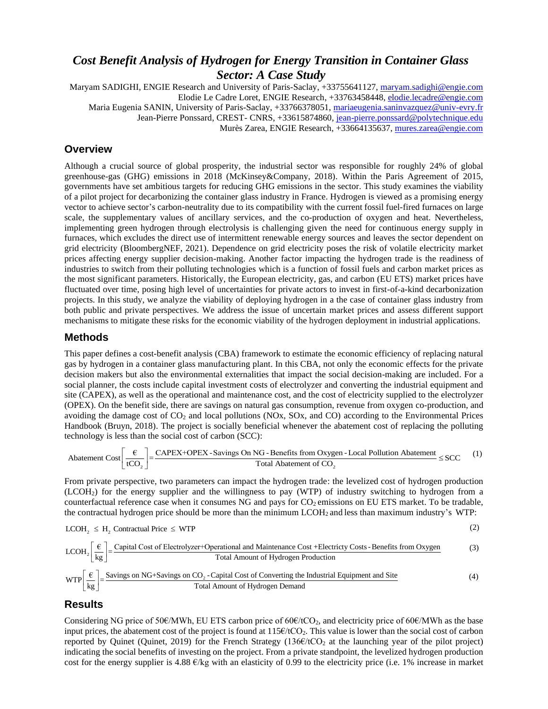# *Cost Benefit Analysis of Hydrogen for Energy Transition in Container Glass Sector: A Case Study*

Maryam SADIGHI, ENGIE Research and University of Paris-Saclay, +33755641127, [maryam.sadighi@engie.com](mailto:maryam.sadighi@engie.com) Elodie Le Cadre Loret, ENGIE Research, +33763458448[, elodie.lecadre@engie.com](mailto:elodie.lecadre@engie.com) Maria Eugenia SANIN, University of Paris-Saclay, +33766378051[, mariaeugenia.saninvazquez@univ-evry.fr](mailto:mariaeugenia.saninvazquez@univ-evry.fr) Jean-Pierre Ponssard, CREST- CNRS, +33615874860, [jean-pierre.ponssard@polytechnique.edu](mailto:jean-pierre.ponssard@polytechnique.edu) Murès Zarea, ENGIE Research, +33664135637, [mures.zarea@engie.com](mailto:mures.zarea@engie.com)

# **Overview**

Although a crucial source of global prosperity, the industrial sector was responsible for roughly 24% of global greenhouse-gas (GHG) emissions in 2018 (McKinsey&Company, 2018). Within the Paris Agreement of 2015, governments have set ambitious targets for reducing GHG emissions in the sector. This study examines the viability of a pilot project for decarbonizing the container glass industry in France. Hydrogen is viewed as a promising energy vector to achieve sector's carbon-neutrality due to its compatibility with the current fossil fuel-fired furnaces on large scale, the supplementary values of ancillary services, and the co-production of oxygen and heat. Nevertheless, implementing green hydrogen through electrolysis is challenging given the need for continuous energy supply in furnaces, which excludes the direct use of intermittent renewable energy sources and leaves the sector dependent on grid electricity (BloombergNEF, 2021). Dependence on grid electricity poses the risk of volatile electricity market prices affecting energy supplier decision-making. Another factor impacting the hydrogen trade is the readiness of industries to switch from their polluting technologies which is a function of fossil fuels and carbon market prices as the most significant parameters. Historically, the European electricity, gas, and carbon (EU ETS) market prices have fluctuated over time, posing high level of uncertainties for private actors to invest in first-of-a-kind decarbonization projects. In this study, we analyze the viability of deploying hydrogen in a the case of container glass industry from both public and private perspectives. We address the issue of uncertain market prices and assess different support mechanisms to mitigate these risks for the economic viability of the hydrogen deployment in industrial applications.

#### **Methods**

This paper defines a cost-benefit analysis (CBA) framework to estimate the economic efficiency of replacing natural gas by hydrogen in a container glass manufacturing plant. In this CBA, not only the economic effects for the private decision makers but also the environmental externalities that impact the social decision-making are included. For a social planner, the costs include capital investment costs of electrolyzer and converting the industrial equipment and site (CAPEX), as well as the operational and maintenance cost, and the cost of electricity supplied to the electrolyzer (OPEX). On the benefit side, there are savings on natural gas consumption, revenue from oxygen co-production, and avoiding the damage cost of CO<sub>2</sub> and local pollutions (NOx, SOx, and CO) according to the Environmental Pr avoiding the damage cost of  $CO<sub>2</sub>$  and local pollutions (NOx, SOx, and CO) according to the Environmental Prices Handbook (Bruyn, 2018). The project is socially beneficial whenever the abatement cost of replacing the polluting technology is less than the social cost of carbon (SCC): OPEX). On the benefit side, there are savings on natural gas consumption, revenue from oxygen co-production voiding the damage cost of CO<sub>2</sub> and local pollutions (NOx, SOx, and CO) according to the Environmental Handbook mage cost of CO<sub>2</sub> and local pollutions (NOx, SOx, and CO<sub>2</sub> pm, 2018). The project is socially beneficial whenever the ses than the social cost of carbon (SCC):<br>  $\left[\frac{\epsilon}{tCO_2}\right] = \frac{CAPEX+OPEX-Savings On NG-Benefits from OxygenX}{Total Abatement of CO_2}$ 

$$
\text{Abatement Cost} \left[ \frac{\epsilon}{tCO_2} \right] = \frac{\text{CAPEX+OPEX-Savings On NG-Benefits from Oxygen - Local Pollution Abatement of CO_2}}{\text{Total Abatement of CO_2}} \le \text{SCC} \tag{1}
$$

From private perspective, two parameters can impact the hydrogen trade: the levelized cost of hydrogen production (LCOH2) for the energy supplier and the willingness to pay (WTP) of industry switching to hydrogen from a counterfactual reference case when it consumes NG and pays for  $CO_2$  emissions on EU ETS market. To be tradable,<br>the contractual hydrogen price should be more than the minimum LCOH<sub>2</sub> and less than maximum industry's WTP:

the contractual hydrogen price should be more than the minimum LCOH<sub>2</sub> and less than maximum industry's WTP: 
$$
LCOH_2 \leq H_2
$$
 Contractual Price  $\leq$  WTP (2)

counterfactual reference case when it consumes NG and pays for CO<sub>2</sub> emissions on EU ETS market. To be tradable  
the contractual hydrogen price should be more than the minimum LCDH<sub>2</sub> and less than maximum industry's WTP:  
LCOH<sub>2</sub> 
$$
\leq
$$
 H<sub>2</sub> Contractual Price  $\leq$  WTP  
LCOH<sub>2</sub>  $\left[\frac{\epsilon}{\text{kg}}\right]$  =  $\frac{\text{Capital Cost of Electrolyzer+Operational and Maintenance Cost +Electricity Costs - Benefits from OxygenTotal Amount of Hydrogen Production$   
WTP $\left[\frac{\epsilon}{\text{kg}}\right]$  =  $\frac{\text{Savings on NG+Savings on CO}_2$ -Capital Cost of Converting the Industrial Equipment and Site  
Total Amount of Hydrogen Demand

# **Results**

Considering NG price of 50 $\epsilon$ /MWh, EU ETS carbon price of 60 $\epsilon$ /tCO<sub>2</sub>, and electricity price of 60 $\epsilon$ /MWh as the base input prices, the abatement cost of the project is found at  $115 \epsilon/ tCO_2$ . This value is lower than the social cost of carbon reported by Quinet (Quinet, 2019) for the French Strategy  $(136 \epsilon/ tCO_2)$  at the launching year of the pilot project) indicating the social benefits of investing on the project. From a private standpoint, the levelized hydrogen production cost for the energy supplier is 4.88  $\epsilon$ /kg with an elasticity of 0.99 to the electricity price (i.e. 1% increase in market